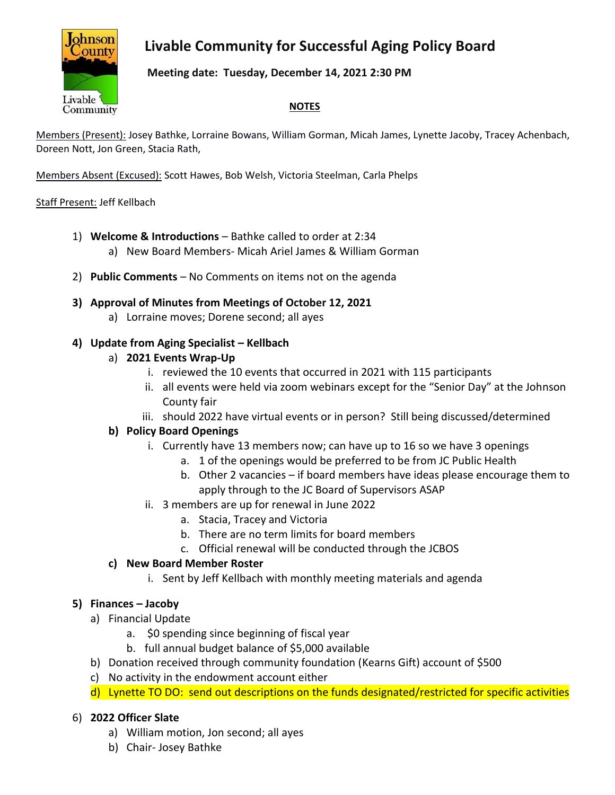# **Livable Community for Successful Aging Policy Board**



### **Meeting date: Tuesday, December 14, 2021 2:30 PM**

#### **NOTES**

Members (Present): Josey Bathke, Lorraine Bowans, William Gorman, Micah James, Lynette Jacoby, Tracey Achenbach, Doreen Nott, Jon Green, Stacia Rath,

Members Absent (Excused): Scott Hawes, Bob Welsh, Victoria Steelman, Carla Phelps

#### Staff Present: Jeff Kellbach

- 1) **Welcome & Introductions** Bathke called to order at 2:34
	- a) New Board Members- Micah Ariel James & William Gorman
- 2) **Public Comments** No Comments on items not on the agenda
- **3) Approval of Minutes from Meetings of October 12, 2021**
	- a) Lorraine moves; Dorene second; all ayes

# **4) Update from Aging Specialist – Kellbach**

- a) **2021 Events Wrap-Up**
	- i. reviewed the 10 events that occurred in 2021 with 115 participants
	- ii. all events were held via zoom webinars except for the "Senior Day" at the Johnson County fair
	- iii. should 2022 have virtual events or in person? Still being discussed/determined

# **b) Policy Board Openings**

- i. Currently have 13 members now; can have up to 16 so we have 3 openings
	- a. 1 of the openings would be preferred to be from JC Public Health
	- b. Other 2 vacancies if board members have ideas please encourage them to apply through to the JC Board of Supervisors ASAP
- ii. 3 members are up for renewal in June 2022
	- a. Stacia, Tracey and Victoria
	- b. There are no term limits for board members
	- c. Official renewal will be conducted through the JCBOS

# **c) New Board Member Roster**

i. Sent by Jeff Kellbach with monthly meeting materials and agenda

# **5) Finances – Jacoby**

- a) Financial Update
	- a. \$0 spending since beginning of fiscal year
	- b. full annual budget balance of \$5,000 available
- b) Donation received through community foundation (Kearns Gift) account of \$500
- c) No activity in the endowment account either
- d) Lynette TO DO: send out descriptions on the funds designated/restricted for specific activities

# 6) **2022 Officer Slate**

- a) William motion, Jon second; all ayes
- b) Chair- Josey Bathke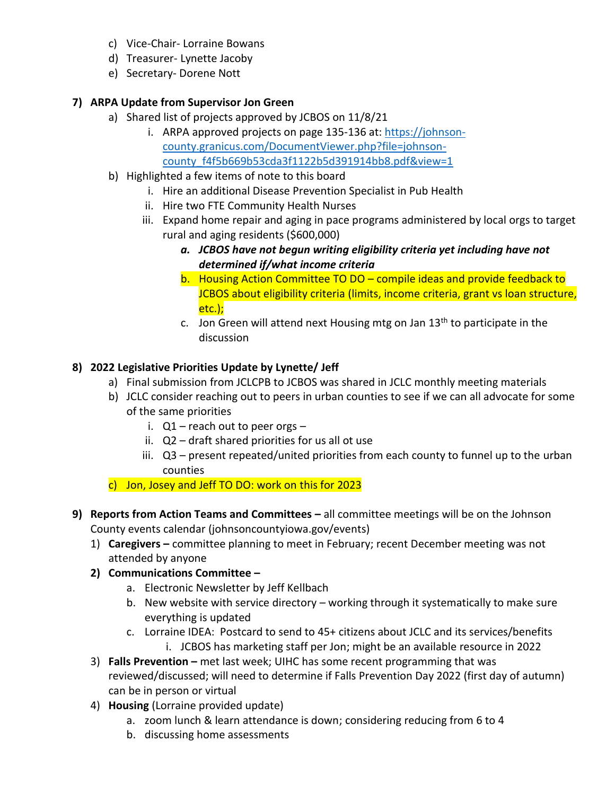- c) Vice-Chair- Lorraine Bowans
- d) Treasurer- Lynette Jacoby
- e) Secretary- Dorene Nott

# **7) ARPA Update from Supervisor Jon Green**

- a) Shared list of projects approved by JCBOS on 11/8/21
	- i. ARPA approved projects on page 135-136 at: [https://johnson](https://johnson-county.granicus.com/DocumentViewer.php?file=johnson-county_f4f5b669b53cda3f1122b5d391914bb8.pdf&view=1)[county.granicus.com/DocumentViewer.php?file=johnson](https://johnson-county.granicus.com/DocumentViewer.php?file=johnson-county_f4f5b669b53cda3f1122b5d391914bb8.pdf&view=1)[county\\_f4f5b669b53cda3f1122b5d391914bb8.pdf&view=1](https://johnson-county.granicus.com/DocumentViewer.php?file=johnson-county_f4f5b669b53cda3f1122b5d391914bb8.pdf&view=1)
- b) Highlighted a few items of note to this board
	- i. Hire an additional Disease Prevention Specialist in Pub Health
	- ii. Hire two FTE Community Health Nurses
	- iii. Expand home repair and aging in pace programs administered by local orgs to target rural and aging residents (\$600,000)
		- *a. JCBOS have not begun writing eligibility criteria yet including have not determined if/what income criteria*
		- b. Housing Action Committee TO DO compile ideas and provide feedback to JCBOS about eligibility criteria (limits, income criteria, grant vs loan structure, etc.);
		- c. Jon Green will attend next Housing mtg on Jan  $13<sup>th</sup>$  to participate in the discussion

# **8) 2022 Legislative Priorities Update by Lynette/ Jeff**

- a) Final submission from JCLCPB to JCBOS was shared in JCLC monthly meeting materials
- b) JCLC consider reaching out to peers in urban counties to see if we can all advocate for some of the same priorities
	- i.  $Q1$  reach out to peer orgs –
	- ii. Q2 draft shared priorities for us all ot use
	- iii. Q3 present repeated/united priorities from each county to funnel up to the urban counties
- c) Jon, Josey and Jeff TO DO: work on this for 2023
- **9) Reports from Action Teams and Committees –** all committee meetings will be on the Johnson County events calendar (johnsoncountyiowa.gov/events)
	- 1) **Caregivers –** committee planning to meet in February; recent December meeting was not attended by anyone
	- **2) Communications Committee –**
		- a. Electronic Newsletter by Jeff Kellbach
		- b. New website with service directory working through it systematically to make sure everything is updated
		- c. Lorraine IDEA: Postcard to send to 45+ citizens about JCLC and its services/benefits i. JCBOS has marketing staff per Jon; might be an available resource in 2022
	- 3) **Falls Prevention –** met last week; UIHC has some recent programming that was reviewed/discussed; will need to determine if Falls Prevention Day 2022 (first day of autumn) can be in person or virtual
	- 4) **Housing** (Lorraine provided update)
		- a. zoom lunch & learn attendance is down; considering reducing from 6 to 4
		- b. discussing home assessments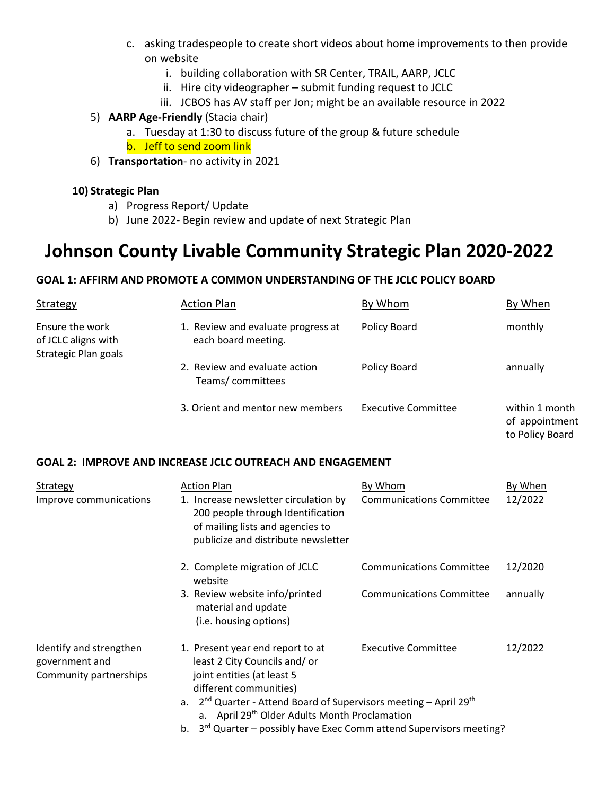- c. asking tradespeople to create short videos about home improvements to then provide on website
	- i. building collaboration with SR Center, TRAIL, AARP, JCLC
	- ii. Hire city videographer submit funding request to JCLC
	- iii. JCBOS has AV staff per Jon; might be an available resource in 2022

#### 5) **AARP Age-Friendly** (Stacia chair)

- a. Tuesday at 1:30 to discuss future of the group & future schedule
- b. Jeff to send zoom link
- 6) **Transportation** no activity in 2021

#### **10) Strategic Plan**

- a) Progress Report/ Update
- b) June 2022- Begin review and update of next Strategic Plan

# **Johnson County Livable Community Strategic Plan 2020-2022**

#### **GOAL 1: AFFIRM AND PROMOTE A COMMON UNDERSTANDING OF THE JCLC POLICY BOARD**

| Strategy                                                       | <b>Action Plan</b>                                        | By Whom                    | By When                                             |
|----------------------------------------------------------------|-----------------------------------------------------------|----------------------------|-----------------------------------------------------|
| Ensure the work<br>of JCLC aligns with<br>Strategic Plan goals | 1. Review and evaluate progress at<br>each board meeting. | Policy Board               | monthly                                             |
|                                                                | 2. Review and evaluate action<br>Teams/committees         | Policy Board               | annually                                            |
|                                                                | 3. Orient and mentor new members                          | <b>Executive Committee</b> | within 1 month<br>of appointment<br>to Policy Board |

#### **GOAL 2: IMPROVE AND INCREASE JCLC OUTREACH AND ENGAGEMENT**

| Strategy                                                            | <b>Action Plan</b>                                                                                                                                                                                                                                                                                                                                       | By Whom                         | By When  |
|---------------------------------------------------------------------|----------------------------------------------------------------------------------------------------------------------------------------------------------------------------------------------------------------------------------------------------------------------------------------------------------------------------------------------------------|---------------------------------|----------|
| Improve communications                                              | 1. Increase newsletter circulation by<br>200 people through Identification<br>of mailing lists and agencies to<br>publicize and distribute newsletter                                                                                                                                                                                                    | <b>Communications Committee</b> | 12/2022  |
|                                                                     | 2. Complete migration of JCLC<br>website                                                                                                                                                                                                                                                                                                                 | <b>Communications Committee</b> | 12/2020  |
|                                                                     | 3. Review website info/printed<br>material and update<br>(i.e. housing options)                                                                                                                                                                                                                                                                          | <b>Communications Committee</b> | annually |
| Identify and strengthen<br>government and<br>Community partnerships | 1. Present year end report to at<br>least 2 City Councils and/or<br>joint entities (at least 5<br>different communities)<br>a. $2^{nd}$ Quarter - Attend Board of Supervisors meeting – April 29 <sup>th</sup><br>a. April 29 <sup>th</sup> Older Adults Month Proclamation<br>b. $3^{rd}$ Quarter – possibly have Exec Comm attend Supervisors meeting? | <b>Executive Committee</b>      | 12/2022  |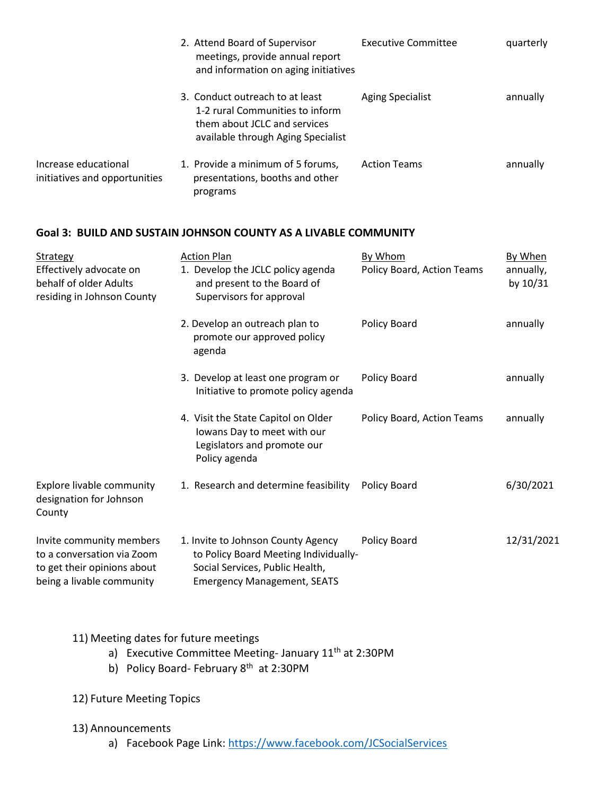|                                                       | 2. Attend Board of Supervisor<br>meetings, provide annual report<br>and information on aging initiatives                                 | <b>Executive Committee</b> | quarterly |
|-------------------------------------------------------|------------------------------------------------------------------------------------------------------------------------------------------|----------------------------|-----------|
|                                                       | 3. Conduct outreach to at least<br>1-2 rural Communities to inform<br>them about JCLC and services<br>available through Aging Specialist | <b>Aging Specialist</b>    | annually  |
| Increase educational<br>initiatives and opportunities | 1. Provide a minimum of 5 forums,<br>presentations, booths and other<br>programs                                                         | <b>Action Teams</b>        | annually  |

#### **Goal 3: BUILD AND SUSTAIN JOHNSON COUNTY AS A LIVABLE COMMUNITY**

| Strategy<br>Effectively advocate on<br>behalf of older Adults<br>residing in Johnson County                        | <b>Action Plan</b><br>1. Develop the JCLC policy agenda<br>and present to the Board of<br>Supervisors for approval                                   | By Whom<br>Policy Board, Action Teams | By When<br>annually,<br>by 10/31 |
|--------------------------------------------------------------------------------------------------------------------|------------------------------------------------------------------------------------------------------------------------------------------------------|---------------------------------------|----------------------------------|
|                                                                                                                    | 2. Develop an outreach plan to<br>promote our approved policy<br>agenda                                                                              | Policy Board                          | annually                         |
|                                                                                                                    | 3. Develop at least one program or<br>Initiative to promote policy agenda                                                                            | Policy Board                          | annually                         |
|                                                                                                                    | 4. Visit the State Capitol on Older<br>Iowans Day to meet with our<br>Legislators and promote our<br>Policy agenda                                   | Policy Board, Action Teams            | annually                         |
| <b>Explore livable community</b><br>designation for Johnson<br>County                                              | 1. Research and determine feasibility                                                                                                                | Policy Board                          | 6/30/2021                        |
| Invite community members<br>to a conversation via Zoom<br>to get their opinions about<br>being a livable community | 1. Invite to Johnson County Agency<br>to Policy Board Meeting Individually-<br>Social Services, Public Health,<br><b>Emergency Management, SEATS</b> | Policy Board                          | 12/31/2021                       |

# 11) Meeting dates for future meetings

- a) Executive Committee Meeting-January 11<sup>th</sup> at 2:30PM
- b) Policy Board- February 8<sup>th</sup> at 2:30PM

# 12) Future Meeting Topics

# 13) Announcements

a) Facebook Page Link:<https://www.facebook.com/JCSocialServices>